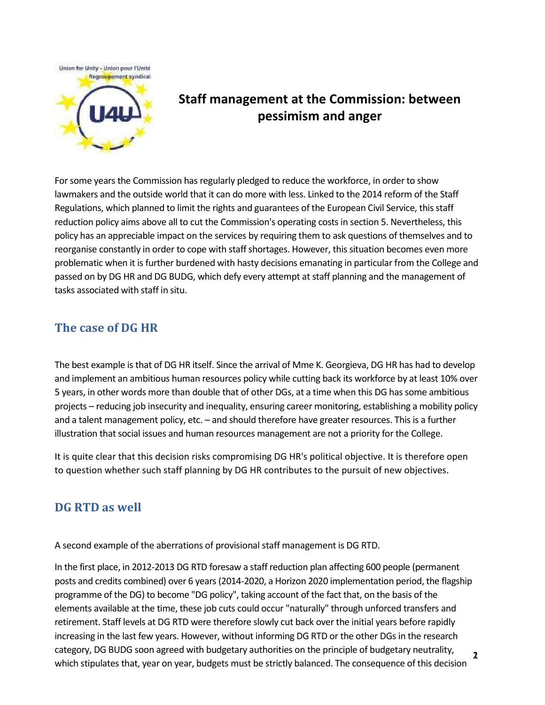



# **Staff management at the Commission: between pessimism and anger**

For some years the Commission has regularly pledged to reduce the workforce, in order to show lawmakers and the outside world that it can do more with less. Linked to the 2014 reform of the Staff Regulations, which planned to limit the rights and guarantees of the European Civil Service, this staff reduction policy aims above all to cut the Commission's operating costs in section 5. Nevertheless, this policy has an appreciable impact on the services by requiring them to ask questions of themselves and to reorganise constantly in order to cope with staff shortages. However, this situation becomes even more problematic when it is further burdened with hasty decisions emanating in particular from the College and passed on by DG HR and DG BUDG, which defy every attempt at staff planning and the management of tasks associated with staff in situ.

## **The case of DG HR**

The best example is that of DG HR itself. Since the arrival of Mme K. Georgieva, DG HR has had to develop and implement an ambitious human resources policy while cutting back its workforce by at least 10% over 5 years, in other words more than double that of other DGs, at a time when this DG has some ambitious projects – reducing job insecurity and inequality, ensuring career monitoring, establishing a mobility policy and a talent management policy, etc. – and should therefore have greater resources. This is a further illustration that social issues and human resources management are not a priority for the College.

It is quite clear that this decision risks compromising DG HR's political objective. It is therefore open to question whether such staff planning by DG HR contributes to the pursuit of new objectives.

## **DG RTD as well**

A second example of the aberrations of provisional staff management is DG RTD.

In the first place, in 2012-2013 DG RTD foresaw a staff reduction plan affecting 600 people (permanent posts and credits combined) over 6 years (2014-2020, a Horizon 2020 implementation period, the flagship programme of the DG) to become "DG policy", taking account of the fact that, on the basis of the elements available at the time, these job cuts could occur "naturally" through unforced transfers and retirement. Staff levels at DG RTD were therefore slowly cut back over the initial years before rapidly increasing in the last few years. However, without informing DG RTD or the other DGs in the research category, DG BUDG soon agreed with budgetary authorities on the principle of budgetary neutrality, which stipulates that, year on year, budgets must be strictly balanced. The consequence of this decision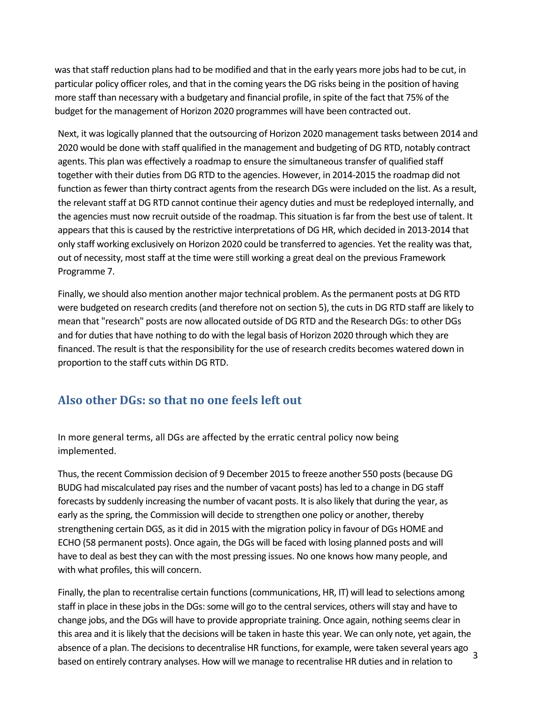was that staff reduction plans had to be modified and that in the early years more jobs had to be cut, in particular policy officer roles, and that in the coming years the DG risks being in the position of having more staff than necessary with a budgetary and financial profile, in spite of the fact that 75% of the budget for the management of Horizon 2020 programmes will have been contracted out.

Next, it was logically planned that the outsourcing of Horizon 2020 management tasks between 2014 and 2020 would be done with staff qualified in the management and budgeting of DG RTD, notably contract agents. This plan was effectively a roadmap to ensure the simultaneous transfer of qualified staff together with their duties from DG RTD to the agencies. However, in 2014-2015 the roadmap did not function as fewer than thirty contract agents from the research DGs were included on the list. As a result, the relevant staff at DG RTD cannot continue their agency duties and must be redeployed internally, and the agencies must now recruit outside of the roadmap. This situation is far from the best use of talent. It appears that this is caused by the restrictive interpretations of DG HR, which decided in 2013-2014 that only staff working exclusively on Horizon 2020 could be transferred to agencies. Yet the reality was that, out of necessity, most staff at the time were still working a great deal on the previous Framework Programme 7.

Finally, we should also mention another major technical problem. As the permanent posts at DG RTD were budgeted on research credits (and therefore not on section 5), the cuts in DG RTD staff are likely to mean that "research" posts are now allocated outside of DG RTD and the Research DGs: to other DGs and for duties that have nothing to do with the legal basis of Horizon 2020 through which they are financed. The result is that the responsibility for the use of research credits becomes watered down in proportion to the staff cuts within DG RTD.

## **Also other DGs: so that no one feels left out**

In more general terms, all DGs are affected by the erratic central policy now being implemented.

Thus, the recent Commission decision of 9 December 2015 to freeze another 550 posts (because DG BUDG had miscalculated pay rises and the number of vacant posts) has led to a change in DG staff forecasts by suddenly increasing the number of vacant posts. It is also likely that during the year, as early as the spring, the Commission will decide to strengthen one policy or another, thereby strengthening certain DGS, as it did in 2015 with the migration policy in favour of DGs HOME and ECHO (58 permanent posts). Once again, the DGs will be faced with losing planned posts and will have to deal as best they can with the most pressing issues. No one knows how many people, and with what profiles, this will concern.

Finally, the plan to recentralise certain functions (communications, HR, IT) will lead to selections among staff in place in these jobs in the DGs: some will go to the central services, others will stay and have to change jobs, and the DGs will have to provide appropriate training. Once again, nothing seems clear in this area and it is likely that the decisions will be taken in haste this year. We can only note, yet again, the absence of a plan. The decisions to decentralise HR functions, for example, were taken several years ago based on entirely contrary analyses. How will we manage to recentralise HR duties and in relation to <sup>3</sup>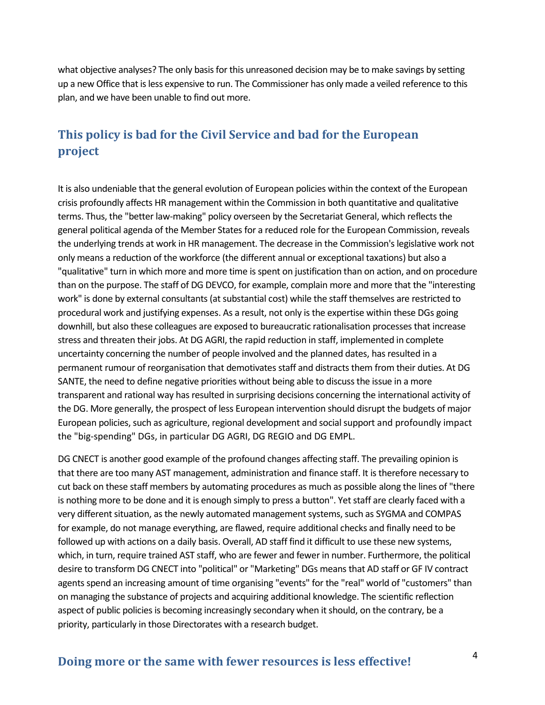what objective analyses? The only basis for this unreasoned decision may be to make savings by setting up a new Office that is less expensive to run. The Commissioner has only made a veiled reference to this plan, and we have been unable to find out more.

## **This policy is bad for the Civil Service and bad for the European project**

It is also undeniable that the general evolution of European policies within the context of the European crisis profoundly affects HR management within the Commission in both quantitative and qualitative terms. Thus, the "better law-making" policy overseen by the Secretariat General, which reflects the general political agenda of the Member States for a reduced role for the European Commission, reveals the underlying trends at work in HR management. The decrease in the Commission's legislative work not only means a reduction of the workforce (the different annual or exceptional taxations) but also a "qualitative" turn in which more and more time is spent on justification than on action, and on procedure than on the purpose. The staff of DG DEVCO, for example, complain more and more that the "interesting work" is done by external consultants (at substantial cost) while the staff themselves are restricted to procedural work and justifying expenses. As a result, not only is the expertise within these DGs going downhill, but also these colleagues are exposed to bureaucratic rationalisation processes that increase stress and threaten their jobs. At DG AGRI, the rapid reduction in staff, implemented in complete uncertainty concerning the number of people involved and the planned dates, has resulted in a permanent rumour of reorganisation that demotivates staff and distracts them from their duties. At DG SANTE, the need to define negative priorities without being able to discuss the issue in a more transparent and rational way has resulted in surprising decisions concerning the international activity of the DG. More generally, the prospect of less European intervention should disrupt the budgets of major European policies, such as agriculture, regional development and social support and profoundly impact the "big-spending" DGs, in particular DG AGRI, DG REGIO and DG EMPL.

DG CNECT is another good example of the profound changes affecting staff. The prevailing opinion is that there are too many AST management, administration and finance staff. It is therefore necessary to cut back on these staff members by automating procedures as much as possible along the lines of "there is nothing more to be done and it is enough simply to press a button". Yet staff are clearly faced with a very different situation, as the newly automated management systems, such as SYGMA and COMPAS for example, do not manage everything, are flawed, require additional checks and finally need to be followed up with actions on a daily basis. Overall, AD staff find it difficult to use these new systems, which, in turn, require trained AST staff, who are fewer and fewer in number. Furthermore, the political desire to transform DG CNECT into "political" or "Marketing" DGs means that AD staff or GF IV contract agents spend an increasing amount of time organising "events" for the "real" world of "customers" than on managing the substance of projects and acquiring additional knowledge. The scientific reflection aspect of public policies is becoming increasingly secondary when it should, on the contrary, be a priority, particularly in those Directorates with a research budget.